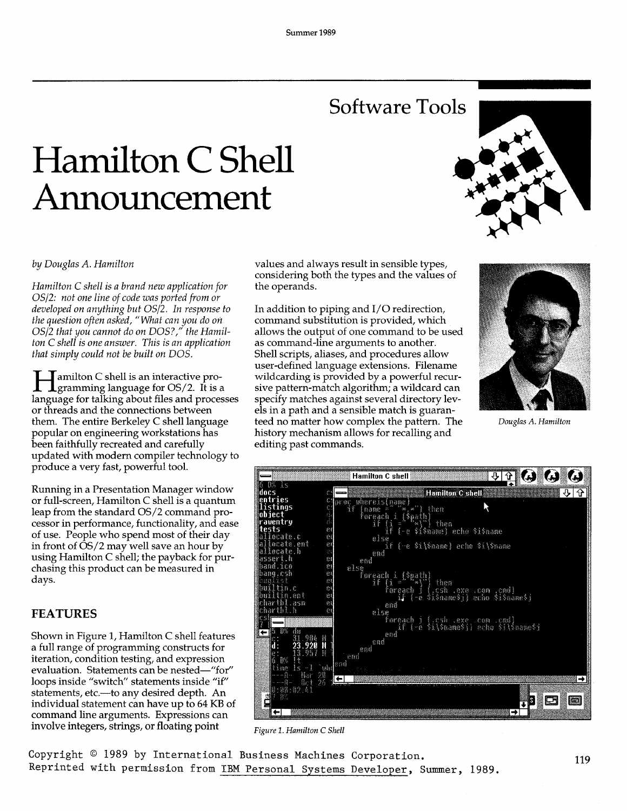## **Software Tools**

# **Hamilton C Shell Announcement**



#### *by Douglas A. Hamilton*

*Hamilton* C *shell is a brand new application for OS/2: not one line of code was ported from or developed on anything but OS/2. In response to the question often asked, "What can you do on* OS/2 that you cannot do on DOS?," the Hamil*ton* C *shell is one answer. This is an application that simply could not be built on DOS.* 

I amilton C shell is an interactive pro-**L**gramming language for  $OS/2$ . It is a language for talking about files and processes or threads and the connections between them. The entire Berkeley C shell language popular on engineering workstations has been faithfully recreated and carefully updated with modern compiler technology to produce a very fast, powerful tool.

Running in a Presentation Manager window or full-screen, Hamilton C shell is a quantum leap from the standard OS/2 command processor in performance, functionality, and ease of use. People who spend most of their day in front of  $\overline{OS}/2$  may well save an hour by using Hamilton C shell; the payback for purchasing this product can be measured in days.

#### **FEATURES**

Shown in Figure 1, Hamilton C shell features a full range of programming constructs for iteration, condition testing, and expression evaluation. Statements can be nested-"for" loops inside "switch" statements inside "if" statements, etc.--- to any desired depth. An individual statement can have up to 64 KB of command line arguments. Expressions can involve integers, strings, or floating point

values and always result in sensible types, considering both the types and the values of the operands.

In addition to piping and I/O redirection, command substitution is provided, which allows the output of one command to be used as command-line arguments to another. Shell scripts, aliases, and procedures allow user-defined language extensions. Filename wildcarding is provided by a powerful recursive pattern-match algorithm; a wildcard can specify matches against several directory levels in a path and a sensible match is guaranteed no matter how complex the pattern. The history mechanism allows for recalling and editing past commands.



*Douglas A. Hamilton* 



*Figure* 1. *Hamilton* C *Shell* 

Copyright © 1989 by International Business Machines Corporation. Reprinted with permission from IBM Personal Systems Developer, Summer, 1989.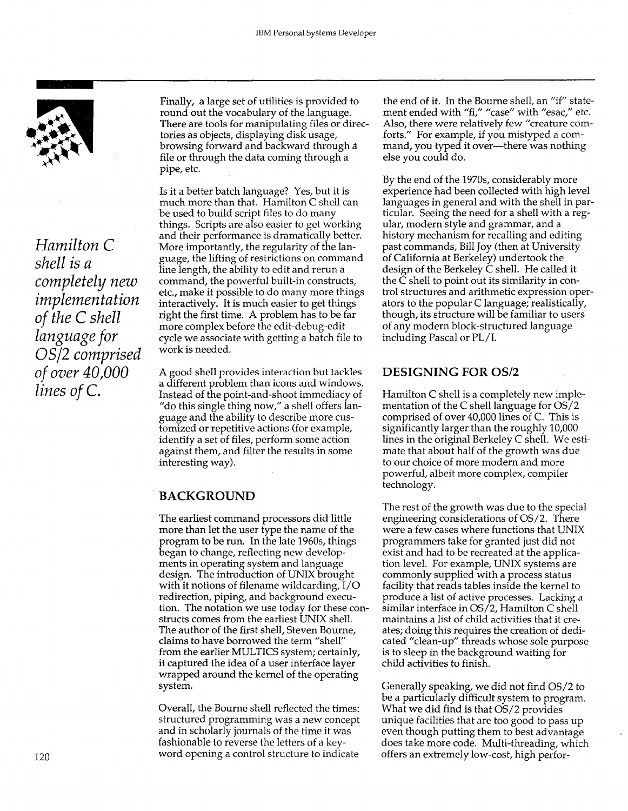

*Hamilton* C *shell is a completely new implementation of the* C *shell language for OS/2 comprised of over 40,000 lines of* C.

Finally, a large set of utilities is provided to round out the vocabulary of the language. There are tools for manipulating files or directories as objects, displaying disk usage, browsing forward and backward through a file or through the data coming through a pipe, etc.

Is it a better batch language? Yes, but it is much more than that. Hamilton C shell can be used to build script files to do many things. Scripts are also easier to get working and their performance is dramatically better. More importantly, the regularity of the language, the lifting of restrictions on command line length, the ability to edit and rerun a command, the powerful built-in constructs, etc., make it possible to do many more things interactively. It is much easier to get things right the first time. A problem has to be far more complex before the edit-debug-edit cycle we associate with getting a batch file to work is needed.

A good shell provides interaction but tackles a different problem than icons and windows. Instead of the point-and-shoot immediacy of "do this single thing now," a shell offers language and the ability to describe more customized or repetitive actions (for example, identify a set of files, perform some action against them, and filter the results in some interesting way).

### **BACKGROUND**

The earliest command processors did little more than let the user type the name of the program to be run. In the late 1960s, things began to change, reflecting new developments in operating system and language design. The introduction of UNIX brought with it notions of filename wild carding,  $I/O$ redirection, piping, and background execution. The notation we use today for these constructs comes from the earliest UNIX shell. The author of the first shell, Steven Bourne, claims to have borrowed the term "shell" from the earlier MULTICS system; certainly, it captured the idea of a user interface layer wrapped around the kernel of the operating system.

Overall, the Bourne shell reflected the times: structured programming was a new concept and in scholarly journals of the time it was fashionable to reverse the letters of a keyword opening a control structure to indicate

the end of it. In the Bourne shell, an "if" statement ended with "fi," "case" with "esac," etc. Also, there were relatively few "creature comforts." For example, if you mistyped a command, you typed it over-there was nothing else you could do.

By the end of the 1970s, considerably more experience had been collected with high level languages in general and with the shell in particular. Seeing the need for a shell with a regular, modern style and grammar, and a history mechanism for recalling and editing past commands, Bill Joy (then at University of California at Berkeley) undertook the design of the Berkeley C shell. He called it the C shell to point out its similarity in control structures and arithmetic expression operators to the popular C language; realistically, though, its structure will be familiar to users of any modern block-structured language including Pascal or PL/I.

#### **DESIGNING FOR** OS/2

Hamilton C shell is a completely new implementation of the C shell language for OS/2 comprised of over 40,000 lines of C. This is significantly larger than the roughly 10,000 lines in the original Berkeley C shell. We estimate that about half of the growth was due to our choice of more modern and more powerful, albeit more complex, compiler technology.

The rest of the growth was due to the special engineering considerations of OS/2. There were a few cases where functions that UNIX programmers take for granted just did not exist and had to be recreated at the application level. For example, UNIX systems are commonly supplied with a process status facility that reads tables inside the kernel to produce a list of active processes. Lacking a similar interface in OS/2, Hamilton C shell maintains a list of child activities that it creates; doing this requires the creation of dedicated "clean-up" threads whose sole purpose is to sleep in the background waiting for child activities to finish.

Generally speaking, we did not find OS/2 to be a particularly difficult system to program. What we did find is that OS/2 provides unique facilities that are too good to pass up even though putting them to best advantage does take more code. Multi-threading, which offers an extremely low-cost, high perfor